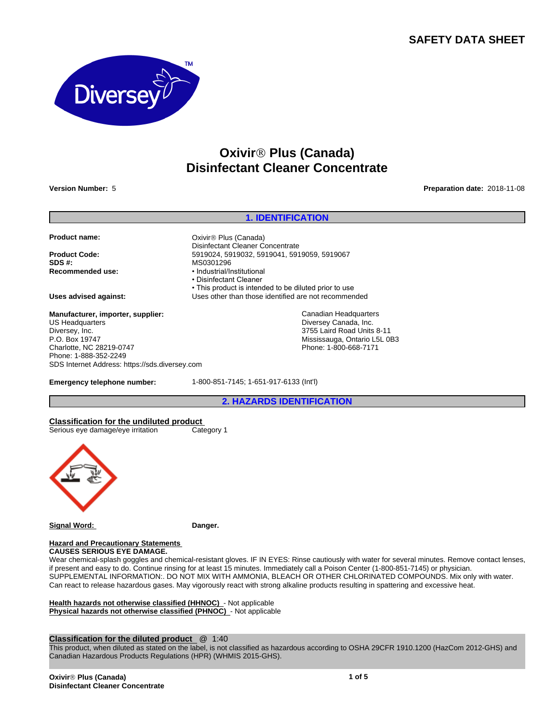# **SAFETY DATA SHEET**



# **OxivirÒ Plus (Canada) Disinfectant Cleaner Concentrate**

**Version Number:** 5 **Preparation date:** 2018-11-08

# **1. IDENTIFICATION**

• This product is intended to be diluted prior to use

Canadian Headquarters Diversey Canada, Inc. 3755 Laird Road Units 8-11 Mississauga, Ontario L5L 0B3 Phone: 1-800-668-7171

**Product name:** CXIVIT® Plus (Canada)

**Product Code:** 5919024, 5919024, 5919032, 5919041, 5919059, 5919067<br>**SDS #:** MS0301296 **Recommended use:** • **• industrial/Institutional** 

**Uses advised against:** Uses other than those identified are not recommended

**Manufacturer, importer, supplier:** US Headquarters Diversey, Inc. P.O. Box 19747 Charlotte, NC 28219-0747 Phone: 1-888-352-2249 SDS Internet Address: https://sds.diversey.com

**Emergency telephone number:** 1-800-851-7145; 1-651-917-6133 (Int'l)

Disinfectant Cleaner Concentrate

**SDS #:** MS0301296

• Disinfectant Cleaner

**2. HAZARDS IDENTIFICATION**

**Classification for the undiluted product**<br>
Serious eye damage/eye irritation Category 1 Serious eye damage/eye irritation



**Signal Word: Danger.**

#### **Hazard and Precautionary Statements CAUSES SERIOUS EYE DAMAGE.**

Wear chemical-splash goggles and chemical-resistant gloves. IF IN EYES: Rinse cautiously with water for several minutes. Remove contact lenses, if present and easy to do. Continue rinsing for at least 15 minutes. Immediately call a Poison Center (1-800-851-7145) or physician. SUPPLEMENTAL INFORMATION:. DO NOT MIX WITH AMMONIA, BLEACH OR OTHER CHLORINATED COMPOUNDS. Mix only with water. Can react to release hazardous gases. May vigorously react with strong alkaline products resulting in spattering and excessive heat.

**Health hazards not otherwise classified (HHNOC)** - Not applicable **Physical hazards not otherwise classified (PHNOC)** - Not applicable

### **Classification for the diluted product** @ 1:40

This product, when diluted as stated on the label, is not classified as hazardous according to OSHA 29CFR 1910.1200 (HazCom 2012-GHS) and Canadian Hazardous Products Regulations (HPR) (WHMIS 2015-GHS).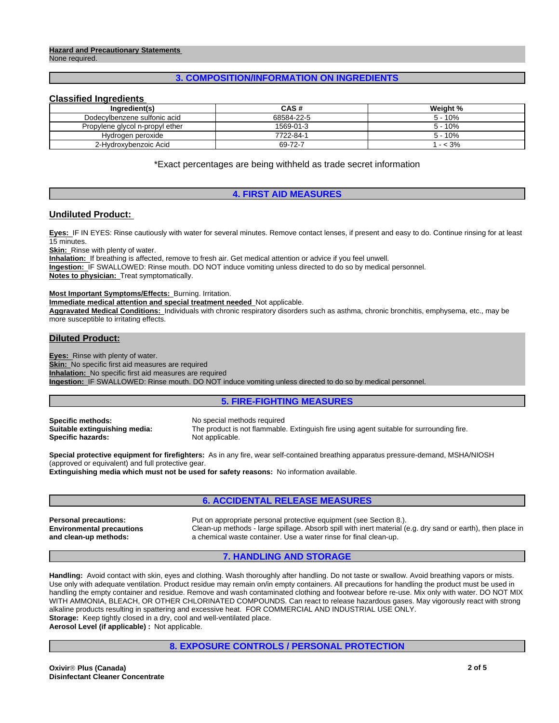#### **Hazard and Precautionary Statements**  None required.

# **3. COMPOSITION/INFORMATION ON INGREDIENTS**

## **Classified Ingredients**

| Inaredient(s)                   | <b>CAS#</b> | Weight %  |
|---------------------------------|-------------|-----------|
| Dodecylbenzene sulfonic acid    | 68584-22-5  | $5 - 10%$ |
| Propylene glycol n-propyl ether | 1569-01-3   | 5 - 10%   |
| Hydrogen peroxide               | 7722-84-1   | $5 - 10%$ |
| 2-Hydroxybenzoic Acid           | 69-72-7     | $- < 3\%$ |

\*Exact percentages are being withheld as trade secret information

# **4. FIRST AID MEASURES**

# **Undiluted Product:**

**Eyes:** IF IN EYES: Rinse cautiously with water for several minutes. Remove contact lenses, if present and easy to do. Continue rinsing for at least 15 minutes.

**Skin:** Rinse with plenty of water.

**Inhalation:** If breathing is affected, remove to fresh air. Get medical attention or advice if you feel unwell. **Ingestion:** IF SWALLOWED: Rinse mouth. DO NOT induce vomiting unless directed to do so by medical personnel. **Notes to physician:** Treat symptomatically.

#### **Most Important Symptoms/Effects:** Burning. Irritation.

**Immediate medical attention and special treatment needed** Not applicable.

**Aggravated Medical Conditions:** Individuals with chronic respiratory disorders such as asthma, chronic bronchitis, emphysema, etc., may be more susceptible to irritating effects.

# **Diluted Product:**

**Eyes:** Rinse with plenty of water.

**Skin:** No specific first aid measures are required

**Inhalation:** No specific first aid measures are required

**Ingestion:** IF SWALLOWED: Rinse mouth. DO NOT induce vomiting unless directed to do so by medical personnel.

# **5. FIRE-FIGHTING MEASURES**

**Specific methods:** No special methods required<br> **Suitable extinguishing media:** The product is not flammable **Specific hazards:** 

The product is not flammable. Extinguish fire using agent suitable for surrounding fire.<br>Not applicable.

**Special protective equipment for firefighters:** As in any fire, wear self-contained breathing apparatus pressure-demand, MSHA/NIOSH (approved or equivalent) and full protective gear.

**Extinguishing media which must not be used for safety reasons:** No information available.

# **6. ACCIDENTAL RELEASE MEASURES**

**Environmental precautions and clean-up methods:**

**Personal precautions:** Put on appropriate personal protective equipment (see Section 8.). Clean-up methods - large spillage. Absorb spill with inert material (e.g. dry sand or earth), then place in a chemical waste container. Use a water rinse for final clean-up.

# **7. HANDLING AND STORAGE**

**Handling:** Avoid contact with skin, eyes and clothing. Wash thoroughly after handling. Do not taste or swallow. Avoid breathing vapors or mists. Use only with adequate ventilation. Product residue may remain on/in empty containers. All precautions for handling the product must be used in handling the empty container and residue. Remove and wash contaminated clothing and footwear before re-use. Mix only with water. DO NOT MIX WITH AMMONIA, BLEACH, OR OTHER CHLORINATED COMPOUNDS. Can react to release hazardous gases. May vigorously react with strong alkaline products resulting in spattering and excessive heat. FOR COMMERCIAL AND INDUSTRIAL USE ONLY. Storage: Keep tightly closed in a dry, cool and well-ventilated place.

**Aerosol Level (if applicable) :** Not applicable.

# **8. EXPOSURE CONTROLS / PERSONAL PROTECTION**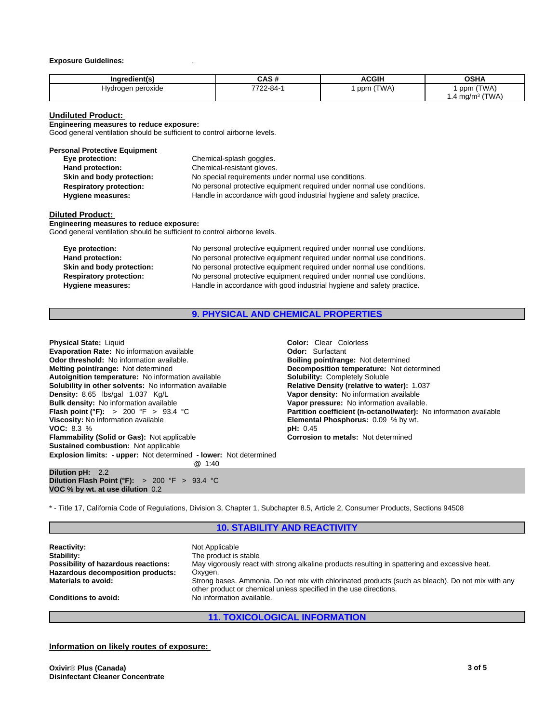#### **Exposure Guidelines:** .

| Ingredient(s)          | .<br>^`<br>unu | <b>ACGIH</b> | <b>OSHA</b>                   |
|------------------------|----------------|--------------|-------------------------------|
| Hydrogen peroxide<br>. | 7722-84-       | (TWA)<br>ppm | (TWA)<br>ppm                  |
|                        |                |              | (TWA)<br>$1.4 \text{ mg/m}^3$ |

#### **Undiluted Product:**

**Engineering measures to reduce exposure:**

Good general ventilation should be sufficient to control airborne levels.

#### **Personal Protective Equipment**

| Eye protection:                | Chemical-splash goggles.                                               |
|--------------------------------|------------------------------------------------------------------------|
| Hand protection:               | Chemical-resistant gloves.                                             |
| Skin and body protection:      | No special requirements under normal use conditions.                   |
| <b>Respiratory protection:</b> | No personal protective equipment required under normal use conditions. |
| <b>Hygiene measures:</b>       | Handle in accordance with good industrial hygiene and safety practice. |

#### **Diluted Product:**

**Engineering measures to reduce exposure:** Good general ventilation should be sufficient to control airborne levels.

| Eye protection:                | No personal protective equipment required under normal use conditions. |
|--------------------------------|------------------------------------------------------------------------|
| Hand protection:               | No personal protective equipment required under normal use conditions. |
| Skin and body protection:      | No personal protective equipment required under normal use conditions. |
| <b>Respiratory protection:</b> | No personal protective equipment required under normal use conditions. |
| Hygiene measures:              | Handle in accordance with good industrial hygiene and safety practice. |

### **9. PHYSICAL AND CHEMICAL PROPERTIES**

**Explosion limits: - upper:** Not determined **- lower:** Not determined **@** 1:40 **Dilution pH:** 2.2 **Dilution Flash Point (°F):** > 200 °F > 93.4 °C **Physical State:** Liquid **Coloric Color: Clear Colorless**<br> **Evaporation Rate:** No information available **Coloric Color:** Curfactant **Evaporation Rate:** No information available **Configuration is a Configuration Codor:** Surfactant **Odor: Configuration Odor: Odor: Configuration available. Odor: Boiling point/range:** Not determined **Odor threshold:** No information available. **Melting point/range:** Not determined **Decomposition temperature:** Not determined **Autoignition temperature:** No information available **Solubility:** Completely Soluble **Solubility in other solvents: No information available Density: 8.65 lbs/gal 1.037 Kg/L Bulk density:** No information available<br>**Flash point (°F):** > 200 °F > 93.4 °C **Viscosity:** No information available **Elemental Phosphorus:** 0.09 % by wt.<br> **VOC:** 8.3 % **VOC:** 8.3 %<br> **Flammability (Solid or Gas):** Not applicable **by the corporation of the Corrosion to metals:** Not determined **Flammability (Solid or Gas): Not applicable Sustained combustion:** Not applicable

**Vapor density:** No information available<br>**Vapor pressure:** No information available. **Partition coefficient (n-octanol/water):** No information available

\* - Title 17, California Code of Regulations, Division 3, Chapter 1, Subchapter 8.5, Article 2, Consumer Products, Sections 94508

## **10. STABILITY AND REACTIVITY**

**Reactivity:** Not Applicable Stability: Not Applicable Stability: The product is stable **Possibility of hazardous reactions:** May vigorously react with strong alkaline products resulting in spattering and excessive heat. **Hazardous decomposition products: Oxygen.**<br>**Materials to avoid:** Strong bases **Materials to avoid:** Strong bases. Ammonia. Do not mix with chlorinated products (such as bleach). Do not mix with any other product or chemical unless specified in the use directions. **Conditions to avoid:** No information available.

**11. TOXICOLOGICAL INFORMATION**

# **Information on likely routes of exposure:**

**VOC % by wt. at use dilution** 0.2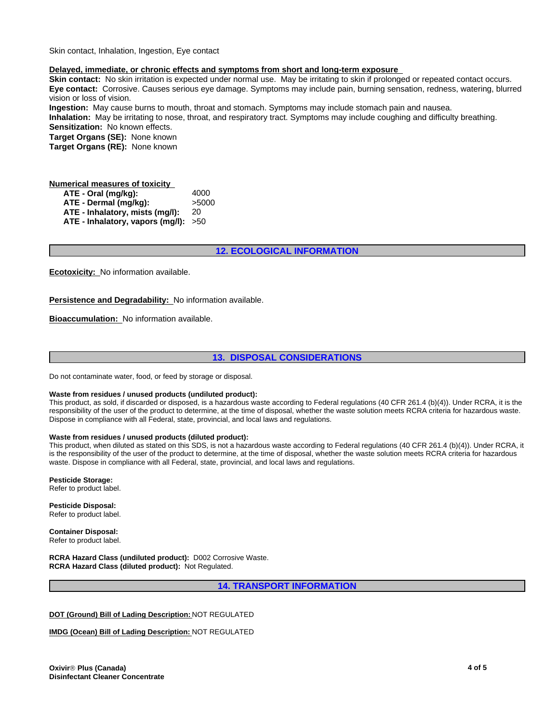Skin contact, Inhalation, Ingestion, Eye contact

### **Delayed, immediate, or chronic effects and symptoms from short and long-term exposure**

**Skin contact:** No skin irritation is expected under normal use. May be irritating to skin if prolonged or repeated contact occurs. **Eye contact:** Corrosive. Causes serious eye damage. Symptoms may include pain, burning sensation, redness, watering, blurred vision or loss of vision.

**Ingestion:** May cause burns to mouth, throat and stomach. Symptoms may include stomach pain and nausea. **Inhalation:** May be irritating to nose, throat, and respiratory tract. Symptoms may include coughing and difficulty breathing. **Sensitization:** No known effects.

**Target Organs (SE):** None known

**Target Organs (RE):** None known

# **Numerical measures of toxicity**

**ATE - Oral (mg/kg):** 4000 **ATE - Dermal (mg/kg):** >5000 **ATE - Inhalatory, mists (mg/l):** 20 **ATE - Inhalatory, vapors (mg/l):** >50

# **12. ECOLOGICAL INFORMATION**

**Ecotoxicity:** No information available.

**Persistence and Degradability:** No information available.

**Bioaccumulation:** No information available.

# **13. DISPOSAL CONSIDERATIONS**

Do not contaminate water, food, or feed by storage or disposal.

#### **Waste from residues / unused products (undiluted product):**

This product, as sold, if discarded or disposed, is a hazardous waste according to Federal regulations (40 CFR 261.4 (b)(4)). Under RCRA, it is the responsibility of the user of the product to determine, at the time of disposal, whether the waste solution meets RCRA criteria for hazardous waste. Dispose in compliance with all Federal, state, provincial, and local laws and regulations.

### **Waste from residues / unused products (diluted product):**

This product, when diluted as stated on this SDS, is not a hazardous waste according to Federal regulations (40 CFR 261.4 (b)(4)). Under RCRA, it is the responsibility of the user of the product to determine, at the time of disposal, whether the waste solution meets RCRA criteria for hazardous waste. Dispose in compliance with all Federal, state, provincial, and local laws and regulations.

**Pesticide Storage:**

Refer to product label.

**Pesticide Disposal:** Refer to product label.

**Container Disposal:** Refer to product label.

**RCRA Hazard Class (undiluted product):** D002 Corrosive Waste. **RCRA Hazard Class (diluted product):** Not Regulated.

**14. TRANSPORT INFORMATION**

#### **DOT (Ground) Bill of Lading Description:** NOT REGULATED

**IMDG (Ocean) Bill of Lading Description:** NOT REGULATED